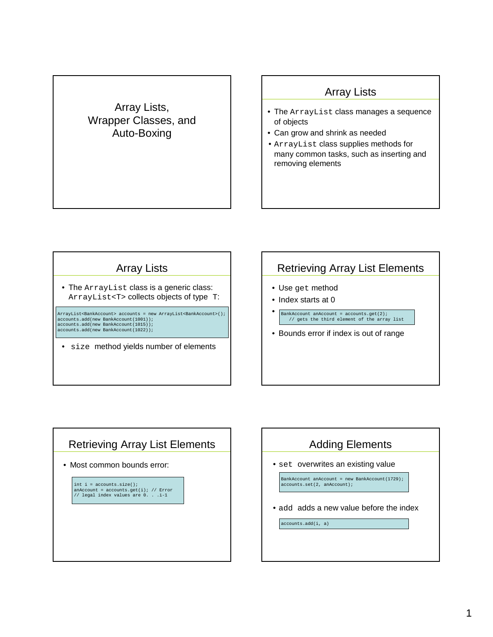#### Array Lists, Wrapper Classes, and Auto-Boxing

### Array Lists

- The ArrayList class manages a sequence of objects
- Can grow and shrink as needed
- ArrayList class supplies methods for many common tasks, such as inserting and removing elements

#### Array Lists

• The ArrayList class is a generic class: ArrayList<T> collects objects of type T:

ArrayList<BankAccount> accounts = new ArrayList<BankAccount>(); accounts.add(new BankAccount(1001)); accounts.add(new BankAccount(1015)); accounts.add(new BankAccount(1022));

• size method yields number of elements

#### Retrieving Array List Elements

- Use get method
- Index starts at 0
- BankAccount anAccount = accounts.get(2); // gets the third element of the array list
- Bounds error if index is out of range

#### Retrieving Array List Elements

• Most common bounds error:

int  $i =$  accounts.size(); anAccount = accounts.get(i); // Error // legal index values are 0. . .i-1

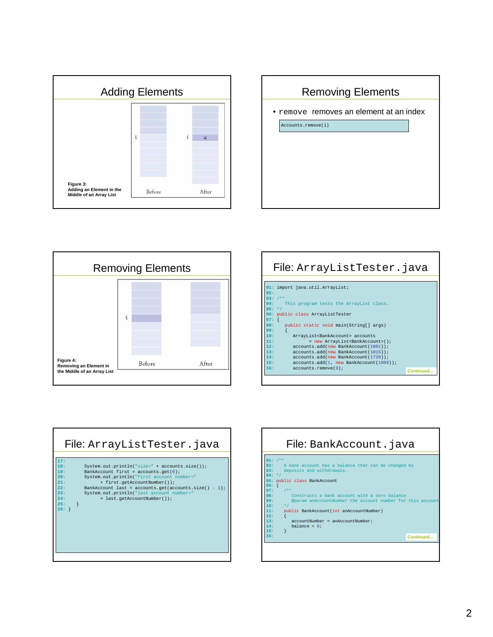





| File: ArrayListTester.java                             |           |
|--------------------------------------------------------|-----------|
| 01: import java.util.ArrayList;                        |           |
| 02:                                                    |           |
| $03:7**$                                               |           |
| This program tests the ArrayList class.<br>04:         |           |
| $05: *7$                                               |           |
| 06: public class ArrayListTester<br>$07:$ {            |           |
| 08:<br>public static void main(String[] args)          |           |
| 09:                                                    |           |
| ArrayList <bankaccount> accounts<br/>10:</bankaccount> |           |
| 11.1<br>= new ArrayList <bankaccount>();</bankaccount> |           |
| accounts.add(new BankAccount(1001));<br>12:            |           |
| 13:<br>accounts.add(new BankAccount(1015));            |           |
| 14.<br>accounts.add(new BankAccount(1729));            |           |
| 15.5<br>accounts.add(1, new BankAccount(1008));        |           |
| 16:<br>accounts.remove(0);                             | Continued |



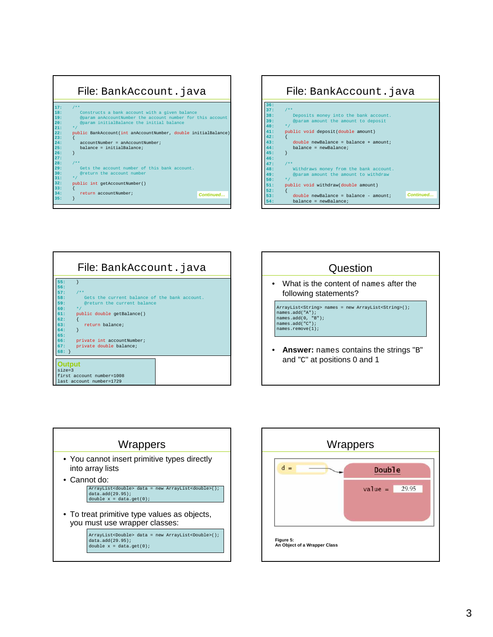









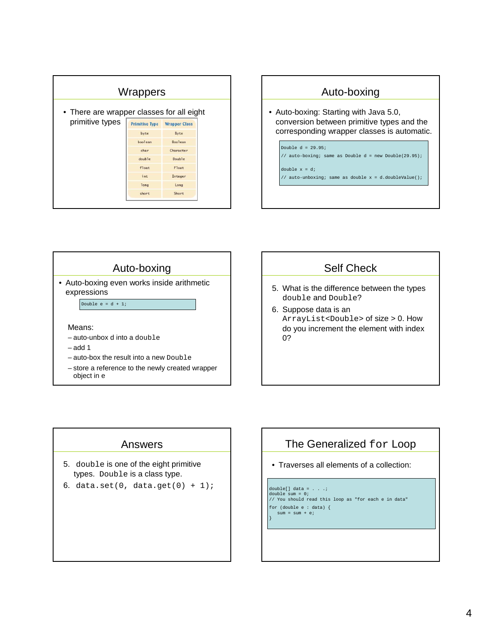|                                           | Wrappers              |                      |  |
|-------------------------------------------|-----------------------|----------------------|--|
| • There are wrapper classes for all eight |                       |                      |  |
| primitive types                           | <b>Primitive Type</b> | <b>Wrapper Class</b> |  |
|                                           | byte                  | Byte                 |  |
|                                           | boolean               | <b>Boolean</b>       |  |
|                                           | char                  | Character            |  |
|                                           | double                | Double               |  |
|                                           | float                 | Float                |  |
|                                           | int                   | Integer              |  |
|                                           | long                  | Long                 |  |
|                                           | short                 | Short                |  |
|                                           |                       |                      |  |



## Auto-boxing • Auto-boxing even works inside arithmetic expressions Double  $e = d + 1$ ;

#### Means:

- auto-unbox d into a double
- $-$  add 1
- auto-box the result into a new Double
- store a reference to the newly created wrapper object in e

#### Self Check

- 5. What is the difference between the types double and Double?
- 6. Suppose data is an ArrayList<Double> of size > 0. How do you increment the element with index 0?

#### Answers

- 5. double is one of the eight primitive types. Double is a class type.
- 6. data.set(0, data.get(0) +  $1$ );

#### The Generalized for Loop

• Traverses all elements of a collection:

#### double[] data =  $\ldots$  .; double sum = 0; // You should read this loop as "for each e in data"

for (double e : data) {

 $sum = sum + ei$ }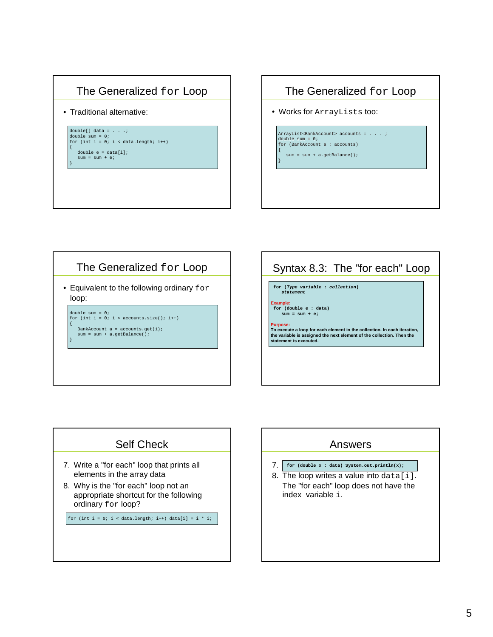### The Generalized for Loop

• Traditional alternative:

}

{

}

double[] data = . . .; double sum = 0; for (int i = 0; i < data.length; i++) { double e = data[i];  $sum = sum + ei$ 

#### The Generalized for Loop

• Works for ArrayLists too:

ArrayList<BankAccount> accounts = . . . ; double sum = 0; for (BankAccount a : accounts) {

sum = sum + a.getBalance();

}

## The Generalized for Loop

• Equivalent to the following ordinary for loop:

double sum = 0; for (int i = 0; i < accounts.size(); i++) BankAccount  $a =$  accounts.get(i);

sum = sum + a.getBalance();

# Syntax 8.3: The "for each" Loop **for (Type variable : collection) statement Example: for (double e : data) sum = sum + e; Purpose: To execute a loop for each element in the collection. In each iteration, the variable is assigned the next element of the collection. Then the statement is executed.**

#### Self Check

- 7. Write a "for each" loop that prints all elements in the array data
- 8. Why is the "for each" loop not an appropriate shortcut for the following ordinary for loop?

for (int i = 0; i < data.length; i++) data[i] = i \* i;

# Answers 7. **for (double x : data) System.out.println(x);**8. The loop writes a value into data[i]. The "for each" loop does not have the index variable i.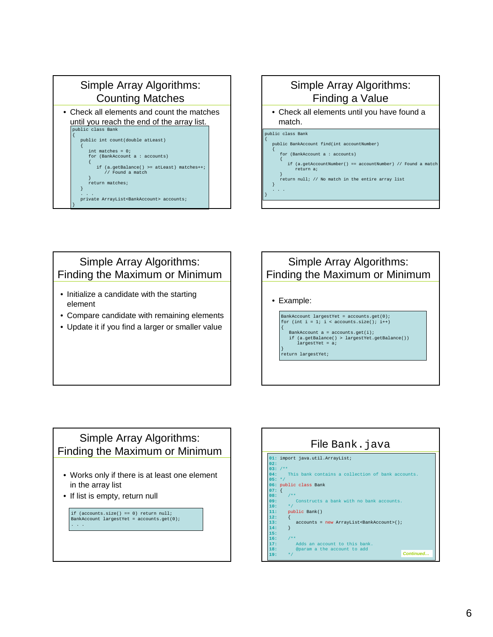

#### Simple Array Algorithms: Finding a Value • Check all elements until you have found a match. public class Bank { public BankAccount find(int accountNumber) { for (BankAccount a : accounts) { if (a.getAccountNumber() == accountNumber) // Found a match return a; } return null; // No match in the entire array list }

#### Simple Array Algorithms: Finding the Maximum or Minimum

- Initialize a candidate with the starting element
- Compare candidate with remaining elements
- Update it if you find a larger or smaller value

#### Simple Array Algorithms: Finding the Maximum or Minimum

• Example:

. . . }

> BankAccount largestYet = accounts.get(0); for (int i = 1; i < accounts.size(); i++) { BankAccount a = accounts.get(i); if (a.getBalance() > largestYet.getBalance()) largestYet = a; } return largestYet;

Simple Array Algorithms: Finding the Maximum or Minimum

- Works only if there is at least one element in the array list
- If list is empty, return null

if (accounts.size() == 0) return null; BankAccount largestYet = accounts.get(0); . . .

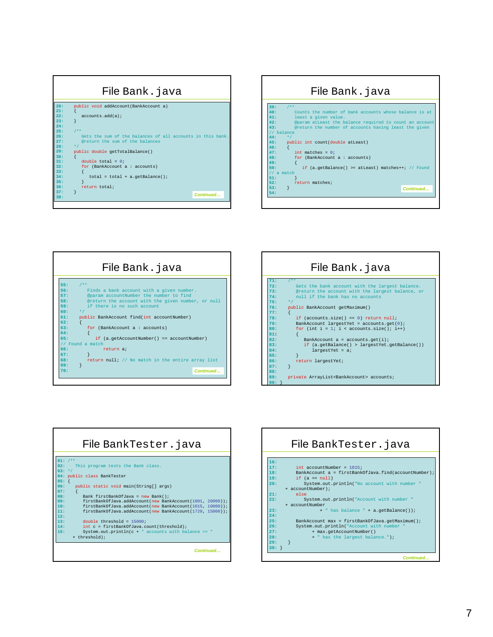|     | File Bank. java                                            |
|-----|------------------------------------------------------------|
| 20: | public void addAccount (BankAccount a)                     |
| 21: |                                                            |
| 22: | accounts.add(a)                                            |
| 23: |                                                            |
| 24: |                                                            |
| 25: | $7$ **                                                     |
| 26: | Gets the sum of the balances of all accounts in this bank. |
| 27: | @return the sum of the balances                            |
| 28: | $\star$ /                                                  |
| 29: | public double getTotalBalance()                            |
| 30: |                                                            |
| 31: | double total = $0$ ;                                       |
| 32: | for (BankAccount a : accounts)                             |
| 33: |                                                            |
| 34: | $total = total + a.getBalance()$                           |
| 35: |                                                            |
| 36: | return total;                                              |
| 37: | Continued                                                  |
| 38: |                                                            |
|     |                                                            |